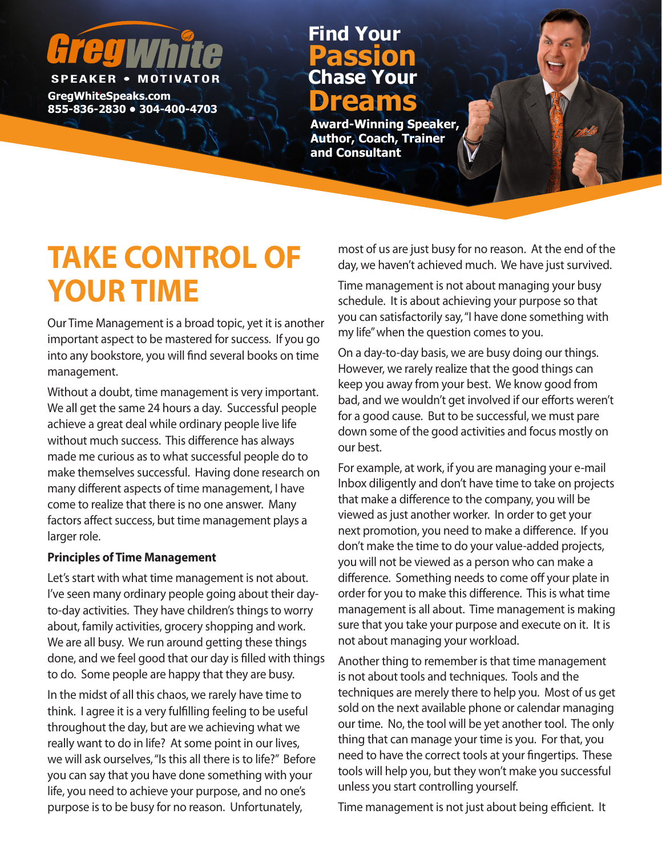# **SPEAKER • MOTIV**

**GregWhiteSpeaks.com B Dreams** 2830 • 304-400-4703

### **Chase Your Passion Find Your**

**Award-Winning Speaker, Author, Coach, Trainer and Consultant**

## **TAKE CONTROL OF YOUR TIME**

Our Time Management is a broad topic, yet it is another important aspect to be mastered for success. If you go into any bookstore, you will find several books on time management.

Without a doubt, time management is very important. We all get the same 24 hours a day. Successful people achieve a great deal while ordinary people live life without much success. This difference has always made me curious as to what successful people do to make themselves successful. Having done research on many different aspects of time management, I have come to realize that there is no one answer. Many factors affect success, but time management plays a larger role.

#### **Principles of Time Management**

Let's start with what time management is not about. I've seen many ordinary people going about their dayto-day activities. They have children's things to worry about, family activities, grocery shopping and work. We are all busy. We run around getting these things done, and we feel good that our day is filled with things to do. Some people are happy that they are busy.

In the midst of all this chaos, we rarely have time to think. I agree it is a very fulfilling feeling to be useful throughout the day, but are we achieving what we really want to do in life? At some point in our lives, we will ask ourselves, "Is this all there is to life?" Before you can say that you have done something with your life, you need to achieve your purpose, and no one's purpose is to be busy for no reason. Unfortunately,

most of us are just busy for no reason. At the end of the day, we haven't achieved much. We have just survived.

Time management is not about managing your busy schedule. It is about achieving your purpose so that you can satisfactorily say, "I have done something with my life" when the question comes to you.

On a day-to-day basis, we are busy doing our things. However, we rarely realize that the good things can keep you away from your best. We know good from bad, and we wouldn't get involved if our efforts weren't for a good cause. But to be successful, we must pare down some of the good activities and focus mostly on our best.

For example, at work, if you are managing your e-mail Inbox diligently and don't have time to take on projects that make a difference to the company, you will be viewed as just another worker. In order to get your next promotion, you need to make a difference. If you don't make the time to do your value-added projects, you will not be viewed as a person who can make a difference. Something needs to come off your plate in order for you to make this difference. This is what time management is all about. Time management is making sure that you take your purpose and execute on it. It is not about managing your workload.

Another thing to remember is that time management is not about tools and techniques. Tools and the techniques are merely there to help you. Most of us get sold on the next available phone or calendar managing our time. No, the tool will be yet another tool. The only thing that can manage your time is you. For that, you need to have the correct tools at your fingertips. These tools will help you, but they won't make you successful unless you start controlling yourself.

Time management is not just about being efficient. It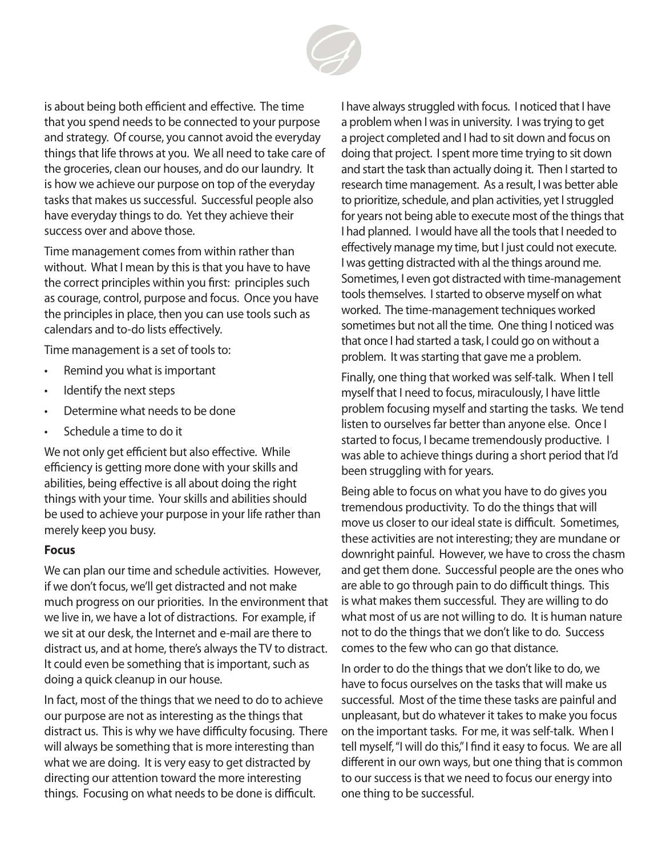

is about being both efficient and effective. The time that you spend needs to be connected to your purpose and strategy. Of course, you cannot avoid the everyday things that life throws at you. We all need to take care of the groceries, clean our houses, and do our laundry. It is how we achieve our purpose on top of the everyday tasks that makes us successful. Successful people also have everyday things to do. Yet they achieve their success over and above those.

Time management comes from within rather than without. What I mean by this is that you have to have the correct principles within you first: principles such as courage, control, purpose and focus. Once you have the principles in place, then you can use tools such as calendars and to-do lists effectively.

Time management is a set of tools to:

- Remind you what is important
- Identify the next steps
- Determine what needs to be done
- Schedule a time to do it

We not only get efficient but also effective. While efficiency is getting more done with your skills and abilities, being effective is all about doing the right things with your time. Your skills and abilities should be used to achieve your purpose in your life rather than merely keep you busy.

#### **Focus**

We can plan our time and schedule activities. However, if we don't focus, we'll get distracted and not make much progress on our priorities. In the environment that we live in, we have a lot of distractions. For example, if we sit at our desk, the Internet and e-mail are there to distract us, and at home, there's always the TV to distract. It could even be something that is important, such as doing a quick cleanup in our house.

In fact, most of the things that we need to do to achieve our purpose are not as interesting as the things that distract us. This is why we have difficulty focusing. There will always be something that is more interesting than what we are doing. It is very easy to get distracted by directing our attention toward the more interesting things. Focusing on what needs to be done is difficult.

I have always struggled with focus. I noticed that I have a problem when I was in university. I was trying to get a project completed and I had to sit down and focus on doing that project. I spent more time trying to sit down and start the task than actually doing it. Then I started to research time management. As a result, I was better able to prioritize, schedule, and plan activities, yet I struggled for years not being able to execute most of the things that I had planned. I would have all the tools that I needed to effectively manage my time, but I just could not execute. I was getting distracted with al the things around me. Sometimes, I even got distracted with time-management tools themselves. I started to observe myself on what worked. The time-management techniques worked sometimes but not all the time. One thing I noticed was that once I had started a task, I could go on without a problem. It was starting that gave me a problem.

Finally, one thing that worked was self-talk. When I tell myself that I need to focus, miraculously, I have little problem focusing myself and starting the tasks. We tend listen to ourselves far better than anyone else. Once I started to focus, I became tremendously productive. I was able to achieve things during a short period that I'd been struggling with for years.

Being able to focus on what you have to do gives you tremendous productivity. To do the things that will move us closer to our ideal state is difficult. Sometimes, these activities are not interesting; they are mundane or downright painful. However, we have to cross the chasm and get them done. Successful people are the ones who are able to go through pain to do difficult things. This is what makes them successful. They are willing to do what most of us are not willing to do. It is human nature not to do the things that we don't like to do. Success comes to the few who can go that distance.

In order to do the things that we don't like to do, we have to focus ourselves on the tasks that will make us successful. Most of the time these tasks are painful and unpleasant, but do whatever it takes to make you focus on the important tasks. For me, it was self-talk. When I tell myself, "I will do this," I find it easy to focus. We are all different in our own ways, but one thing that is common to our success is that we need to focus our energy into one thing to be successful.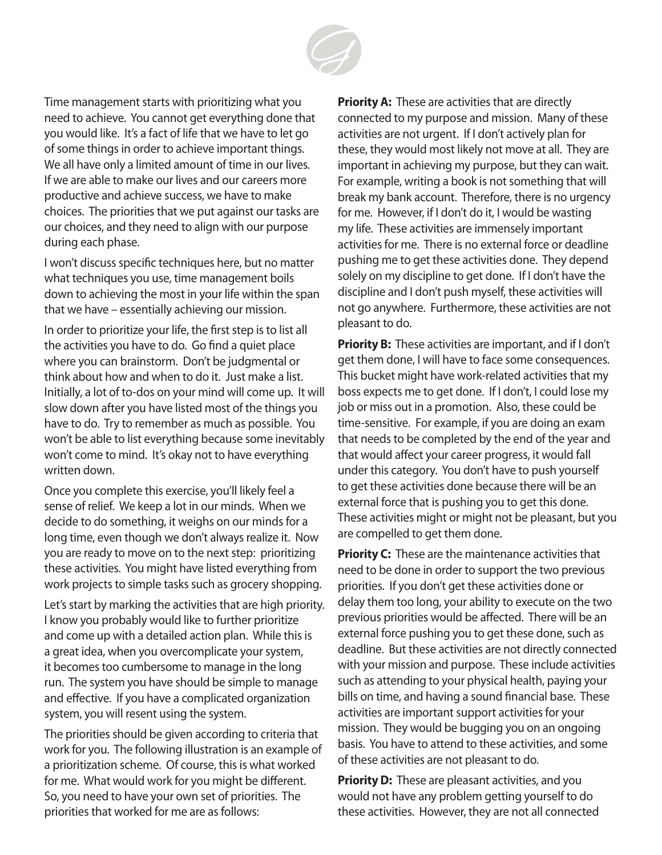

Time management starts with prioritizing what you need to achieve. You cannot get everything done that you would like. It's a fact of life that we have to let go of some things in order to achieve important things. We all have only a limited amount of time in our lives. If we are able to make our lives and our careers more productive and achieve success, we have to make choices. The priorities that we put against our tasks are our choices, and they need to align with our purpose during each phase.

I won't discuss specific techniques here, but no matter what techniques you use, time management boils down to achieving the most in your life within the span that we have – essentially achieving our mission.

In order to prioritize your life, the first step is to list all the activities you have to do. Go find a quiet place where you can brainstorm. Don't be judgmental or think about how and when to do it. Just make a list. Initially, a lot of to-dos on your mind will come up. It will slow down after you have listed most of the things you have to do. Try to remember as much as possible. You won't be able to list everything because some inevitably won't come to mind. It's okay not to have everything written down.

Once you complete this exercise, you'll likely feel a sense of relief. We keep a lot in our minds. When we decide to do something, it weighs on our minds for a long time, even though we don't always realize it. Now you are ready to move on to the next step: prioritizing these activities. You might have listed everything from work projects to simple tasks such as grocery shopping.

Let's start by marking the activities that are high priority. I know you probably would like to further prioritize and come up with a detailed action plan. While this is a great idea, when you overcomplicate your system, it becomes too cumbersome to manage in the long run. The system you have should be simple to manage and effective. If you have a complicated organization system, you will resent using the system.

The priorities should be given according to criteria that work for you. The following illustration is an example of a prioritization scheme. Of course, this is what worked for me. What would work for you might be different. So, you need to have your own set of priorities. The priorities that worked for me are as follows:

**Priority A:** These are activities that are directly connected to my purpose and mission. Many of these activities are not urgent. If I don't actively plan for these, they would most likely not move at all. They are important in achieving my purpose, but they can wait. For example, writing a book is not something that will break my bank account. Therefore, there is no urgency for me. However, if I don't do it, I would be wasting my life. These activities are immensely important activities for me. There is no external force or deadline pushing me to get these activities done. They depend solely on my discipline to get done. If I don't have the discipline and I don't push myself, these activities will not go anywhere. Furthermore, these activities are not pleasant to do.

**Priority B:** These activities are important, and if I don't get them done, I will have to face some consequences. This bucket might have work-related activities that my boss expects me to get done. If I don't, I could lose my job or miss out in a promotion. Also, these could be time-sensitive. For example, if you are doing an exam that needs to be completed by the end of the year and that would affect your career progress, it would fall under this category. You don't have to push yourself to get these activities done because there will be an external force that is pushing you to get this done. These activities might or might not be pleasant, but you are compelled to get them done.

**Priority C:** These are the maintenance activities that need to be done in order to support the two previous priorities. If you don't get these activities done or delay them too long, your ability to execute on the two previous priorities would be affected. There will be an external force pushing you to get these done, such as deadline. But these activities are not directly connected with your mission and purpose. These include activities such as attending to your physical health, paying your bills on time, and having a sound financial base. These activities are important support activities for your mission. They would be bugging you on an ongoing basis. You have to attend to these activities, and some of these activities are not pleasant to do.

**Priority D:** These are pleasant activities, and you would not have any problem getting yourself to do these activities. However, they are not all connected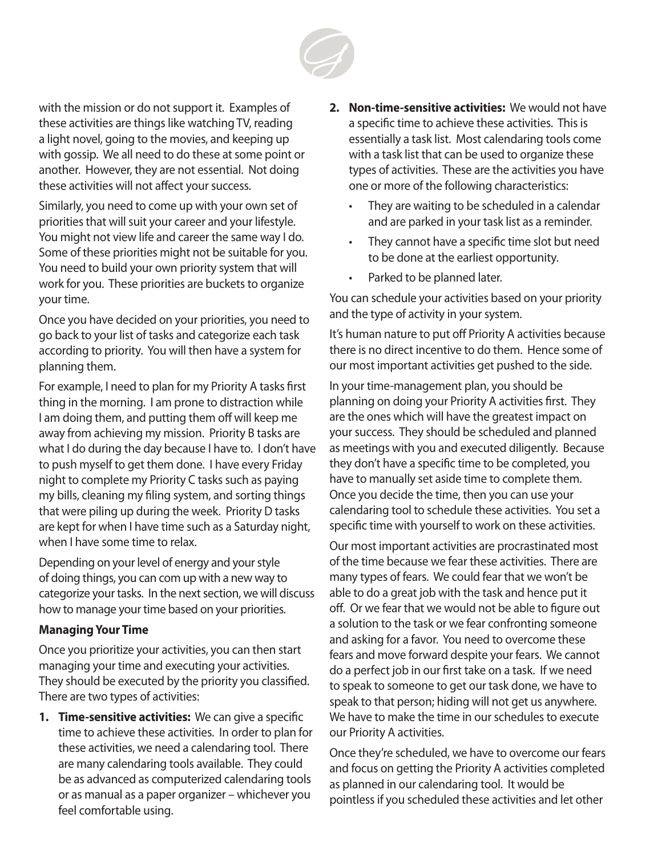

with the mission or do not support it. Examples of these activities are things like watching TV, reading a light novel, going to the movies, and keeping up with gossip. We all need to do these at some point or another. However, they are not essential. Not doing these activities will not affect your success.

Similarly, you need to come up with your own set of priorities that will suit your career and your lifestyle. You might not view life and career the same way I do. Some of these priorities might not be suitable for you. You need to build your own priority system that will work for you. These priorities are buckets to organize your time.

Once you have decided on your priorities, you need to go back to your list of tasks and categorize each task according to priority. You will then have a system for planning them.

For example, I need to plan for my Priority A tasks first thing in the morning. I am prone to distraction while I am doing them, and putting them off will keep me away from achieving my mission. Priority B tasks are what I do during the day because I have to. I don't have to push myself to get them done. I have every Friday night to complete my Priority C tasks such as paying my bills, cleaning my filing system, and sorting things that were piling up during the week. Priority D tasks are kept for when I have time such as a Saturday night, when I have some time to relax.

Depending on your level of energy and your style of doing things, you can com up with a new way to categorize your tasks. In the next section, we will discuss how to manage your time based on your priorities.

#### **Managing Your Time**

Once you prioritize your activities, you can then start managing your time and executing your activities. They should be executed by the priority you classified. There are two types of activities:

**1. Time-sensitive activities:** We can give a specific time to achieve these activities. In order to plan for these activities, we need a calendaring tool. There are many calendaring tools available. They could be as advanced as computerized calendaring tools or as manual as a paper organizer – whichever you feel comfortable using.

- **2. Non-time-sensitive activities:** We would not have a specific time to achieve these activities. This is essentially a task list. Most calendaring tools come with a task list that can be used to organize these types of activities. These are the activities you have one or more of the following characteristics:
	- They are waiting to be scheduled in a calendar and are parked in your task list as a reminder.
	- They cannot have a specific time slot but need to be done at the earliest opportunity.
	- Parked to be planned later.

You can schedule your activities based on your priority and the type of activity in your system.

It's human nature to put off Priority A activities because there is no direct incentive to do them. Hence some of our most important activities get pushed to the side.

In your time-management plan, you should be planning on doing your Priority A activities first. They are the ones which will have the greatest impact on your success. They should be scheduled and planned as meetings with you and executed diligently. Because they don't have a specific time to be completed, you have to manually set aside time to complete them. Once you decide the time, then you can use your calendaring tool to schedule these activities. You set a specific time with yourself to work on these activities.

Our most important activities are procrastinated most of the time because we fear these activities. There are many types of fears. We could fear that we won't be able to do a great job with the task and hence put it off. Or we fear that we would not be able to figure out a solution to the task or we fear confronting someone and asking for a favor. You need to overcome these fears and move forward despite your fears. We cannot do a perfect job in our first take on a task. If we need to speak to someone to get our task done, we have to speak to that person; hiding will not get us anywhere. We have to make the time in our schedules to execute our Priority A activities.

Once they're scheduled, we have to overcome our fears and focus on getting the Priority A activities completed as planned in our calendaring tool. It would be pointless if you scheduled these activities and let other